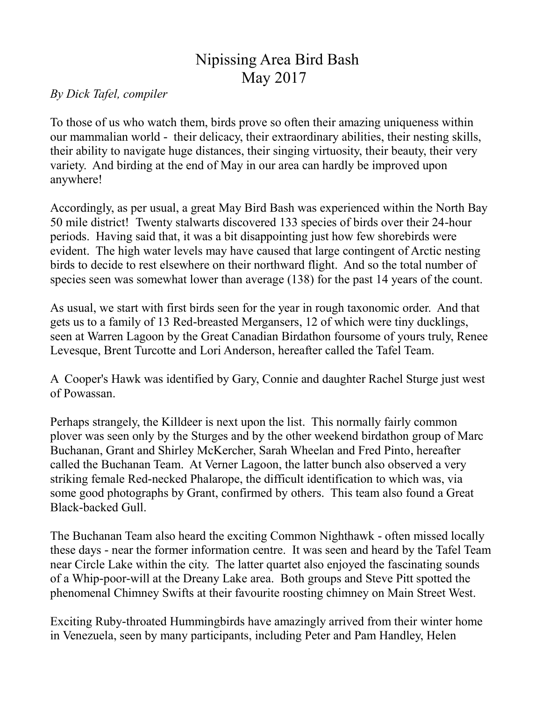## Nipissing Area Bird Bash May 2017

## *By Dick Tafel, compiler*

To those of us who watch them, birds prove so often their amazing uniqueness within our mammalian world - their delicacy, their extraordinary abilities, their nesting skills, their ability to navigate huge distances, their singing virtuosity, their beauty, their very variety. And birding at the end of May in our area can hardly be improved upon anywhere!

Accordingly, as per usual, a great May Bird Bash was experienced within the North Bay 50 mile district! Twenty stalwarts discovered 133 species of birds over their 24-hour periods. Having said that, it was a bit disappointing just how few shorebirds were evident. The high water levels may have caused that large contingent of Arctic nesting birds to decide to rest elsewhere on their northward flight. And so the total number of species seen was somewhat lower than average (138) for the past 14 years of the count.

As usual, we start with first birds seen for the year in rough taxonomic order. And that gets us to a family of 13 Red-breasted Mergansers, 12 of which were tiny ducklings, seen at Warren Lagoon by the Great Canadian Birdathon foursome of yours truly, Renee Levesque, Brent Turcotte and Lori Anderson, hereafter called the Tafel Team.

A Cooper's Hawk was identified by Gary, Connie and daughter Rachel Sturge just west of Powassan.

Perhaps strangely, the Killdeer is next upon the list. This normally fairly common plover was seen only by the Sturges and by the other weekend birdathon group of Marc Buchanan, Grant and Shirley McKercher, Sarah Wheelan and Fred Pinto, hereafter called the Buchanan Team. At Verner Lagoon, the latter bunch also observed a very striking female Red-necked Phalarope, the difficult identification to which was, via some good photographs by Grant, confirmed by others. This team also found a Great Black-backed Gull.

The Buchanan Team also heard the exciting Common Nighthawk - often missed locally these days - near the former information centre. It was seen and heard by the Tafel Team near Circle Lake within the city. The latter quartet also enjoyed the fascinating sounds of a Whip-poor-will at the Dreany Lake area. Both groups and Steve Pitt spotted the phenomenal Chimney Swifts at their favourite roosting chimney on Main Street West.

Exciting Ruby-throated Hummingbirds have amazingly arrived from their winter home in Venezuela, seen by many participants, including Peter and Pam Handley, Helen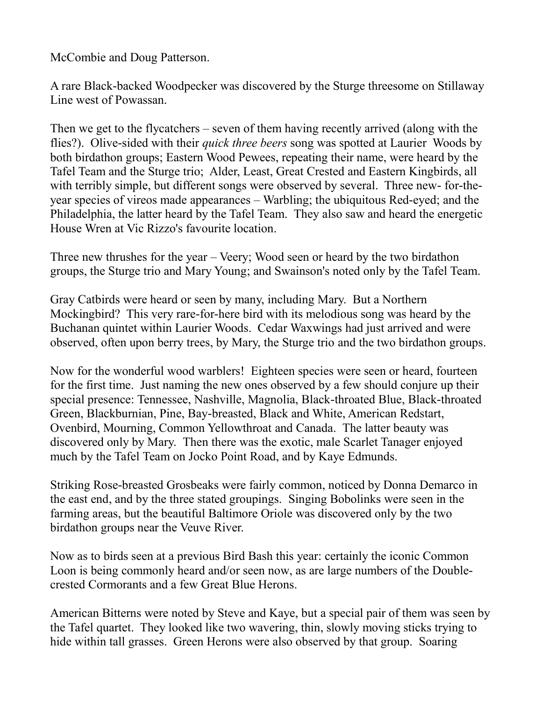McCombie and Doug Patterson.

A rare Black-backed Woodpecker was discovered by the Sturge threesome on Stillaway Line west of Powassan.

Then we get to the flycatchers – seven of them having recently arrived (along with the flies?). Olive-sided with their *quick three beers* song was spotted at Laurier Woods by both birdathon groups; Eastern Wood Pewees, repeating their name, were heard by the Tafel Team and the Sturge trio; Alder, Least, Great Crested and Eastern Kingbirds, all with terribly simple, but different songs were observed by several. Three new- for-theyear species of vireos made appearances – Warbling; the ubiquitous Red-eyed; and the Philadelphia, the latter heard by the Tafel Team. They also saw and heard the energetic House Wren at Vic Rizzo's favourite location.

Three new thrushes for the year – Veery; Wood seen or heard by the two birdathon groups, the Sturge trio and Mary Young; and Swainson's noted only by the Tafel Team.

Gray Catbirds were heard or seen by many, including Mary. But a Northern Mockingbird? This very rare-for-here bird with its melodious song was heard by the Buchanan quintet within Laurier Woods. Cedar Waxwings had just arrived and were observed, often upon berry trees, by Mary, the Sturge trio and the two birdathon groups.

Now for the wonderful wood warblers! Eighteen species were seen or heard, fourteen for the first time. Just naming the new ones observed by a few should conjure up their special presence: Tennessee, Nashville, Magnolia, Black-throated Blue, Black-throated Green, Blackburnian, Pine, Bay-breasted, Black and White, American Redstart, Ovenbird, Mourning, Common Yellowthroat and Canada. The latter beauty was discovered only by Mary. Then there was the exotic, male Scarlet Tanager enjoyed much by the Tafel Team on Jocko Point Road, and by Kaye Edmunds.

Striking Rose-breasted Grosbeaks were fairly common, noticed by Donna Demarco in the east end, and by the three stated groupings. Singing Bobolinks were seen in the farming areas, but the beautiful Baltimore Oriole was discovered only by the two birdathon groups near the Veuve River.

Now as to birds seen at a previous Bird Bash this year: certainly the iconic Common Loon is being commonly heard and/or seen now, as are large numbers of the Doublecrested Cormorants and a few Great Blue Herons.

American Bitterns were noted by Steve and Kaye, but a special pair of them was seen by the Tafel quartet. They looked like two wavering, thin, slowly moving sticks trying to hide within tall grasses. Green Herons were also observed by that group. Soaring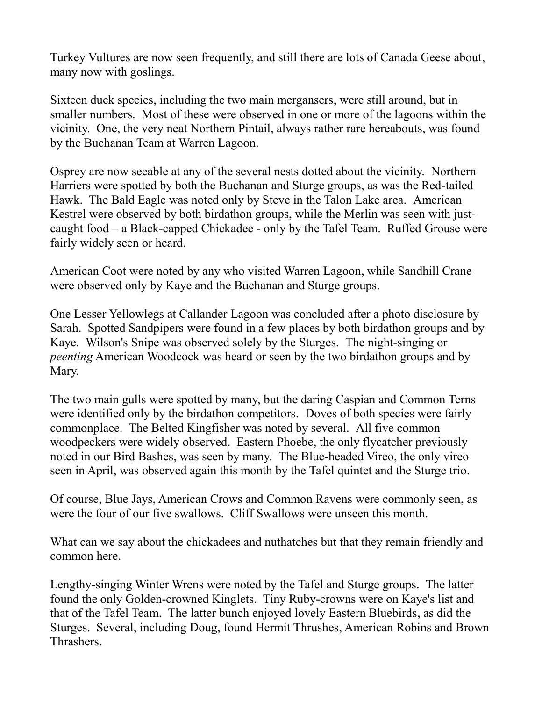Turkey Vultures are now seen frequently, and still there are lots of Canada Geese about, many now with goslings.

Sixteen duck species, including the two main mergansers, were still around, but in smaller numbers. Most of these were observed in one or more of the lagoons within the vicinity. One, the very neat Northern Pintail, always rather rare hereabouts, was found by the Buchanan Team at Warren Lagoon.

Osprey are now seeable at any of the several nests dotted about the vicinity. Northern Harriers were spotted by both the Buchanan and Sturge groups, as was the Red-tailed Hawk. The Bald Eagle was noted only by Steve in the Talon Lake area. American Kestrel were observed by both birdathon groups, while the Merlin was seen with justcaught food – a Black-capped Chickadee - only by the Tafel Team. Ruffed Grouse were fairly widely seen or heard.

American Coot were noted by any who visited Warren Lagoon, while Sandhill Crane were observed only by Kaye and the Buchanan and Sturge groups.

One Lesser Yellowlegs at Callander Lagoon was concluded after a photo disclosure by Sarah. Spotted Sandpipers were found in a few places by both birdathon groups and by Kaye. Wilson's Snipe was observed solely by the Sturges. The night-singing or *peenting* American Woodcock was heard or seen by the two birdathon groups and by Mary.

The two main gulls were spotted by many, but the daring Caspian and Common Terns were identified only by the birdathon competitors. Doves of both species were fairly commonplace. The Belted Kingfisher was noted by several. All five common woodpeckers were widely observed. Eastern Phoebe, the only flycatcher previously noted in our Bird Bashes, was seen by many. The Blue-headed Vireo, the only vireo seen in April, was observed again this month by the Tafel quintet and the Sturge trio.

Of course, Blue Jays, American Crows and Common Ravens were commonly seen, as were the four of our five swallows. Cliff Swallows were unseen this month.

What can we say about the chickadees and nuthatches but that they remain friendly and common here.

Lengthy-singing Winter Wrens were noted by the Tafel and Sturge groups. The latter found the only Golden-crowned Kinglets. Tiny Ruby-crowns were on Kaye's list and that of the Tafel Team. The latter bunch enjoyed lovely Eastern Bluebirds, as did the Sturges. Several, including Doug, found Hermit Thrushes, American Robins and Brown Thrashers.